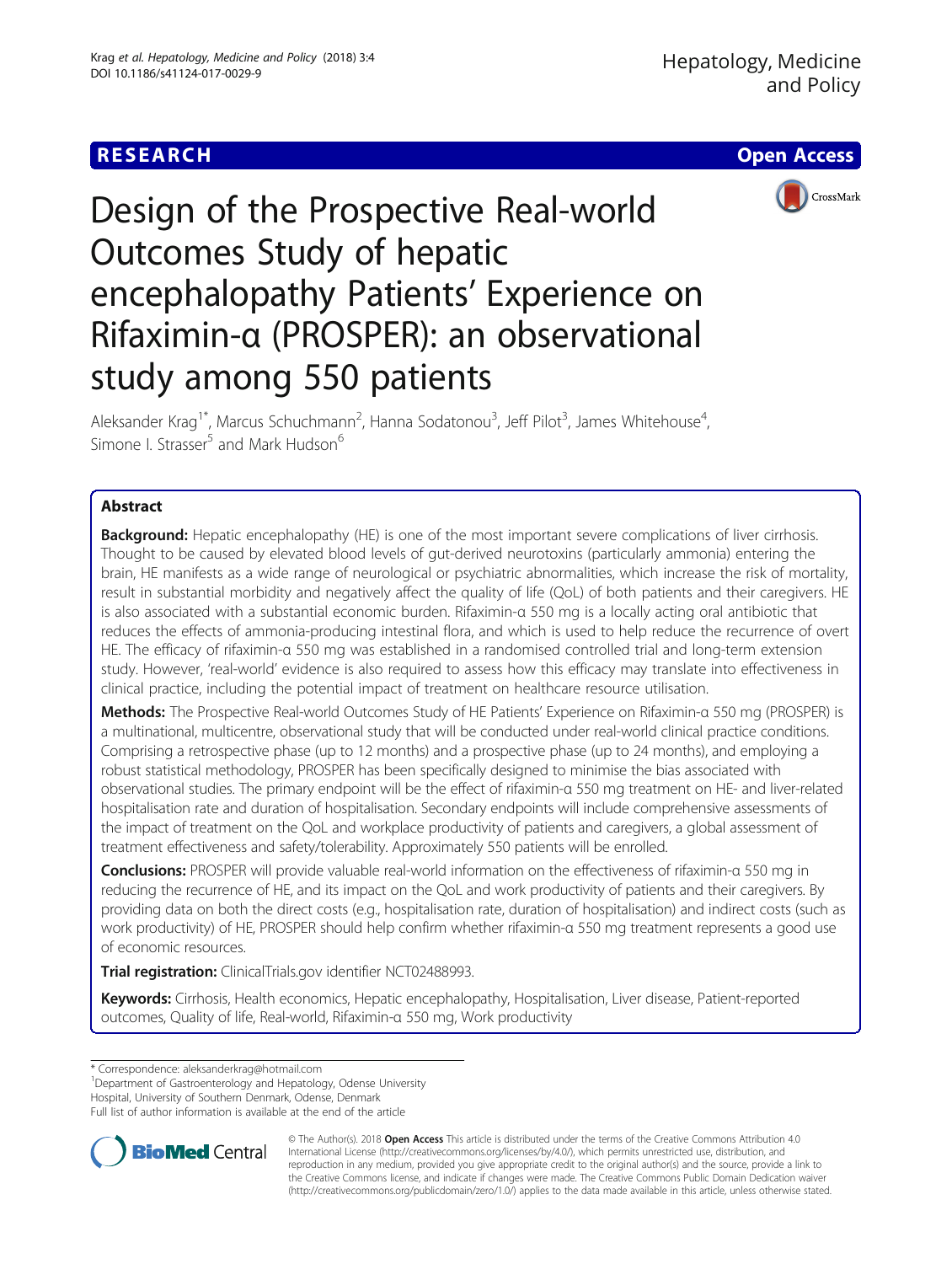## **RESEARCH CHE Open Access**



# Design of the Prospective Real-world Outcomes Study of hepatic encephalopathy Patients' Experience on Rifaximin-α (PROSPER): an observational study among 550 patients

Aleksander Krag<sup>1\*</sup>, Marcus Schuchmann<sup>2</sup>, Hanna Sodatonou<sup>3</sup>, Jeff Pilot<sup>3</sup>, James Whitehouse<sup>4</sup> , Simone I. Strasser<sup>5</sup> and Mark Hudson<sup>6</sup>

## Abstract

**Background:** Hepatic encephalopathy (HE) is one of the most important severe complications of liver cirrhosis. Thought to be caused by elevated blood levels of gut-derived neurotoxins (particularly ammonia) entering the brain, HE manifests as a wide range of neurological or psychiatric abnormalities, which increase the risk of mortality, result in substantial morbidity and negatively affect the quality of life (QoL) of both patients and their caregivers. HE is also associated with a substantial economic burden. Rifaximin-α 550 mg is a locally acting oral antibiotic that reduces the effects of ammonia-producing intestinal flora, and which is used to help reduce the recurrence of overt HE. The efficacy of rifaximin-α 550 mg was established in a randomised controlled trial and long-term extension study. However, 'real-world' evidence is also required to assess how this efficacy may translate into effectiveness in clinical practice, including the potential impact of treatment on healthcare resource utilisation.

Methods: The Prospective Real-world Outcomes Study of HE Patients' Experience on Rifaximin-α 550 mg (PROSPER) is a multinational, multicentre, observational study that will be conducted under real-world clinical practice conditions. Comprising a retrospective phase (up to 12 months) and a prospective phase (up to 24 months), and employing a robust statistical methodology, PROSPER has been specifically designed to minimise the bias associated with observational studies. The primary endpoint will be the effect of rifaximin-α 550 mg treatment on HE- and liver-related hospitalisation rate and duration of hospitalisation. Secondary endpoints will include comprehensive assessments of the impact of treatment on the QoL and workplace productivity of patients and caregivers, a global assessment of treatment effectiveness and safety/tolerability. Approximately 550 patients will be enrolled.

Conclusions: PROSPER will provide valuable real-world information on the effectiveness of rifaximin-α 550 mg in reducing the recurrence of HE, and its impact on the QoL and work productivity of patients and their caregivers. By providing data on both the direct costs (e.g., hospitalisation rate, duration of hospitalisation) and indirect costs (such as work productivity) of HE, PROSPER should help confirm whether rifaximin-α 550 mg treatment represents a good use of economic resources.

Trial registration: ClinicalTrials.gov identifier [NCT02488993](http://clinicaltrials.gov/NCT02488993).

Keywords: Cirrhosis, Health economics, Hepatic encephalopathy, Hospitalisation, Liver disease, Patient-reported outcomes, Quality of life, Real-world, Rifaximin-α 550 mg, Work productivity

\* Correspondence: [aleksanderkrag@hotmail.com](mailto:aleksanderkrag@hotmail.com) <sup>1</sup>

<sup>1</sup>Department of Gastroenterology and Hepatology, Odense University Hospital, University of Southern Denmark, Odense, Denmark

Full list of author information is available at the end of the article



© The Author(s). 2018 Open Access This article is distributed under the terms of the Creative Commons Attribution 4.0 International License [\(http://creativecommons.org/licenses/by/4.0/](http://creativecommons.org/licenses/by/4.0/)), which permits unrestricted use, distribution, and reproduction in any medium, provided you give appropriate credit to the original author(s) and the source, provide a link to the Creative Commons license, and indicate if changes were made. The Creative Commons Public Domain Dedication waiver [\(http://creativecommons.org/publicdomain/zero/1.0/](http://creativecommons.org/publicdomain/zero/1.0/)) applies to the data made available in this article, unless otherwise stated.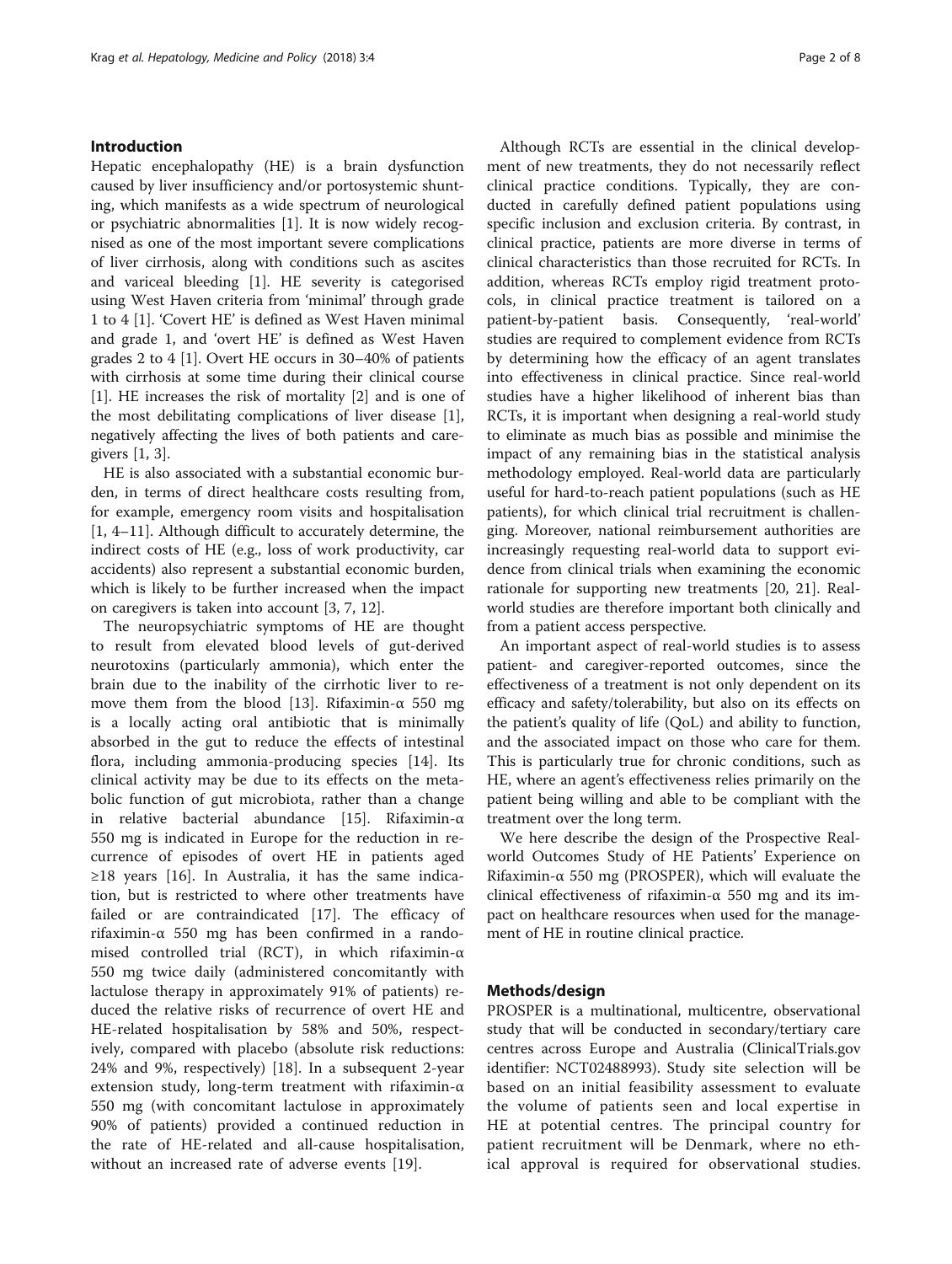## Introduction

Hepatic encephalopathy (HE) is a brain dysfunction caused by liver insufficiency and/or portosystemic shunting, which manifests as a wide spectrum of neurological or psychiatric abnormalities [\[1](#page-6-0)]. It is now widely recognised as one of the most important severe complications of liver cirrhosis, along with conditions such as ascites and variceal bleeding [[1\]](#page-6-0). HE severity is categorised using West Haven criteria from 'minimal' through grade 1 to 4 [[1\]](#page-6-0). 'Covert HE' is defined as West Haven minimal and grade 1, and 'overt HE' is defined as West Haven grades 2 to 4 [[1\]](#page-6-0). Overt HE occurs in 30–40% of patients with cirrhosis at some time during their clinical course [[1\]](#page-6-0). HE increases the risk of mortality [[2\]](#page-6-0) and is one of the most debilitating complications of liver disease [\[1](#page-6-0)], negatively affecting the lives of both patients and caregivers [\[1](#page-6-0), [3](#page-6-0)].

HE is also associated with a substantial economic burden, in terms of direct healthcare costs resulting from, for example, emergency room visits and hospitalisation [[1, 4](#page-6-0)–[11\]](#page-7-0). Although difficult to accurately determine, the indirect costs of HE (e.g., loss of work productivity, car accidents) also represent a substantial economic burden, which is likely to be further increased when the impact on caregivers is taken into account [[3,](#page-6-0) [7, 12](#page-7-0)].

The neuropsychiatric symptoms of HE are thought to result from elevated blood levels of gut-derived neurotoxins (particularly ammonia), which enter the brain due to the inability of the cirrhotic liver to re-move them from the blood [[13\]](#page-7-0). Rifaximin-α 550 mg is a locally acting oral antibiotic that is minimally absorbed in the gut to reduce the effects of intestinal flora, including ammonia-producing species [\[14](#page-7-0)]. Its clinical activity may be due to its effects on the metabolic function of gut microbiota, rather than a change in relative bacterial abundance [[15](#page-7-0)]. Rifaximin-α 550 mg is indicated in Europe for the reduction in recurrence of episodes of overt HE in patients aged  $\geq$ 18 years [[16\]](#page-7-0). In Australia, it has the same indication, but is restricted to where other treatments have failed or are contraindicated [[17\]](#page-7-0). The efficacy of rifaximin-α 550 mg has been confirmed in a randomised controlled trial (RCT), in which rifaximin-α 550 mg twice daily (administered concomitantly with lactulose therapy in approximately 91% of patients) reduced the relative risks of recurrence of overt HE and HE-related hospitalisation by 58% and 50%, respectively, compared with placebo (absolute risk reductions: 24% and 9%, respectively) [[18\]](#page-7-0). In a subsequent 2-year extension study, long-term treatment with rifaximin-α 550 mg (with concomitant lactulose in approximately 90% of patients) provided a continued reduction in the rate of HE-related and all-cause hospitalisation, without an increased rate of adverse events [[19\]](#page-7-0).

Although RCTs are essential in the clinical development of new treatments, they do not necessarily reflect clinical practice conditions. Typically, they are conducted in carefully defined patient populations using specific inclusion and exclusion criteria. By contrast, in clinical practice, patients are more diverse in terms of clinical characteristics than those recruited for RCTs. In addition, whereas RCTs employ rigid treatment protocols, in clinical practice treatment is tailored on a patient-by-patient basis. Consequently, 'real-world' studies are required to complement evidence from RCTs by determining how the efficacy of an agent translates into effectiveness in clinical practice. Since real-world studies have a higher likelihood of inherent bias than RCTs, it is important when designing a real-world study to eliminate as much bias as possible and minimise the impact of any remaining bias in the statistical analysis methodology employed. Real-world data are particularly useful for hard-to-reach patient populations (such as HE patients), for which clinical trial recruitment is challenging. Moreover, national reimbursement authorities are increasingly requesting real-world data to support evidence from clinical trials when examining the economic rationale for supporting new treatments [[20, 21\]](#page-7-0). Realworld studies are therefore important both clinically and from a patient access perspective.

An important aspect of real-world studies is to assess patient- and caregiver-reported outcomes, since the effectiveness of a treatment is not only dependent on its efficacy and safety/tolerability, but also on its effects on the patient's quality of life (QoL) and ability to function, and the associated impact on those who care for them. This is particularly true for chronic conditions, such as HE, where an agent's effectiveness relies primarily on the patient being willing and able to be compliant with the treatment over the long term.

We here describe the design of the Prospective Realworld Outcomes Study of HE Patients' Experience on Rifaximin-α 550 mg (PROSPER), which will evaluate the clinical effectiveness of rifaximin-α 550 mg and its impact on healthcare resources when used for the management of HE in routine clinical practice.

## Methods/design

PROSPER is a multinational, multicentre, observational study that will be conducted in secondary/tertiary care centres across Europe and Australia [\(ClinicalTrials.gov](http://clinicaltrials.gov) identifier: NCT02488993). Study site selection will be based on an initial feasibility assessment to evaluate the volume of patients seen and local expertise in HE at potential centres. The principal country for patient recruitment will be Denmark, where no ethical approval is required for observational studies.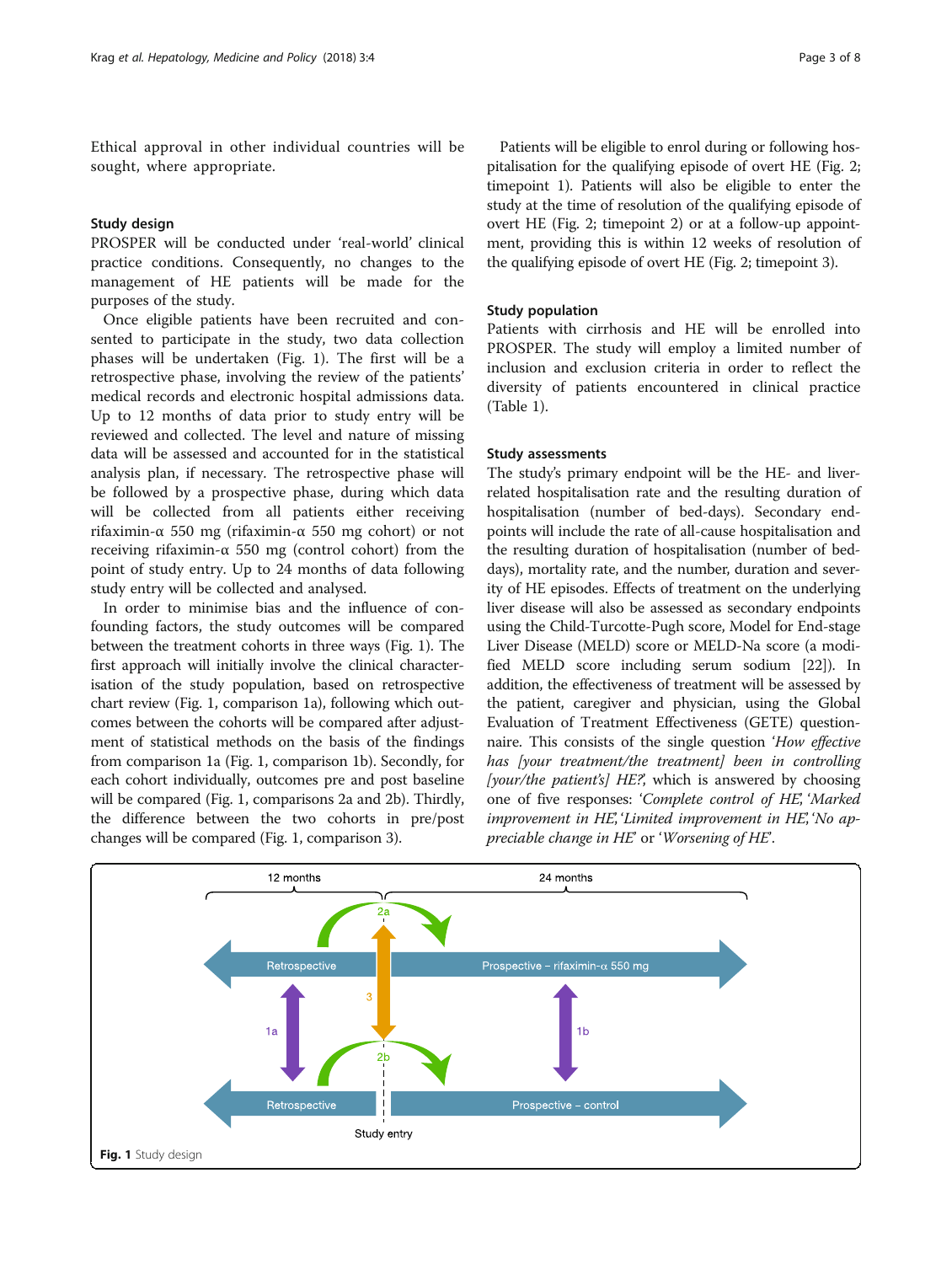Ethical approval in other individual countries will be sought, where appropriate.

## Study design

PROSPER will be conducted under 'real-world' clinical practice conditions. Consequently, no changes to the management of HE patients will be made for the purposes of the study.

Once eligible patients have been recruited and consented to participate in the study, two data collection phases will be undertaken (Fig. 1). The first will be a retrospective phase, involving the review of the patients' medical records and electronic hospital admissions data. Up to 12 months of data prior to study entry will be reviewed and collected. The level and nature of missing data will be assessed and accounted for in the statistical analysis plan, if necessary. The retrospective phase will be followed by a prospective phase, during which data will be collected from all patients either receiving rifaximin-α 550 mg (rifaximin-α 550 mg cohort) or not receiving rifaximin-α 550 mg (control cohort) from the point of study entry. Up to 24 months of data following study entry will be collected and analysed.

In order to minimise bias and the influence of confounding factors, the study outcomes will be compared between the treatment cohorts in three ways (Fig. 1). The first approach will initially involve the clinical characterisation of the study population, based on retrospective chart review (Fig. 1, comparison 1a), following which outcomes between the cohorts will be compared after adjustment of statistical methods on the basis of the findings from comparison 1a (Fig. 1, comparison 1b). Secondly, for each cohort individually, outcomes pre and post baseline will be compared (Fig. 1, comparisons 2a and 2b). Thirdly, the difference between the two cohorts in pre/post changes will be compared (Fig. 1, comparison 3).

Patients will be eligible to enrol during or following hospitalisation for the qualifying episode of overt HE (Fig. [2](#page-3-0); timepoint 1). Patients will also be eligible to enter the study at the time of resolution of the qualifying episode of overt HE (Fig. [2](#page-3-0); timepoint 2) or at a follow-up appointment, providing this is within 12 weeks of resolution of the qualifying episode of overt HE (Fig. [2](#page-3-0); timepoint 3).

## Study population

Patients with cirrhosis and HE will be enrolled into PROSPER. The study will employ a limited number of inclusion and exclusion criteria in order to reflect the diversity of patients encountered in clinical practice (Table [1\)](#page-3-0).

## Study assessments

The study's primary endpoint will be the HE- and liverrelated hospitalisation rate and the resulting duration of hospitalisation (number of bed-days). Secondary endpoints will include the rate of all-cause hospitalisation and the resulting duration of hospitalisation (number of beddays), mortality rate, and the number, duration and severity of HE episodes. Effects of treatment on the underlying liver disease will also be assessed as secondary endpoints using the Child-Turcotte-Pugh score, Model for End-stage Liver Disease (MELD) score or MELD-Na score (a modified MELD score including serum sodium [\[22\]](#page-7-0)). In addition, the effectiveness of treatment will be assessed by the patient, caregiver and physician, using the Global Evaluation of Treatment Effectiveness (GETE) questionnaire. This consists of the single question 'How effective has [your treatment/the treatment] been in controlling [your/the patient's] HE?, which is answered by choosing one of five responses: 'Complete control of HE', 'Marked improvement in HE', 'Limited improvement in HE', 'No appreciable change in HE' or 'Worsening of HE'.

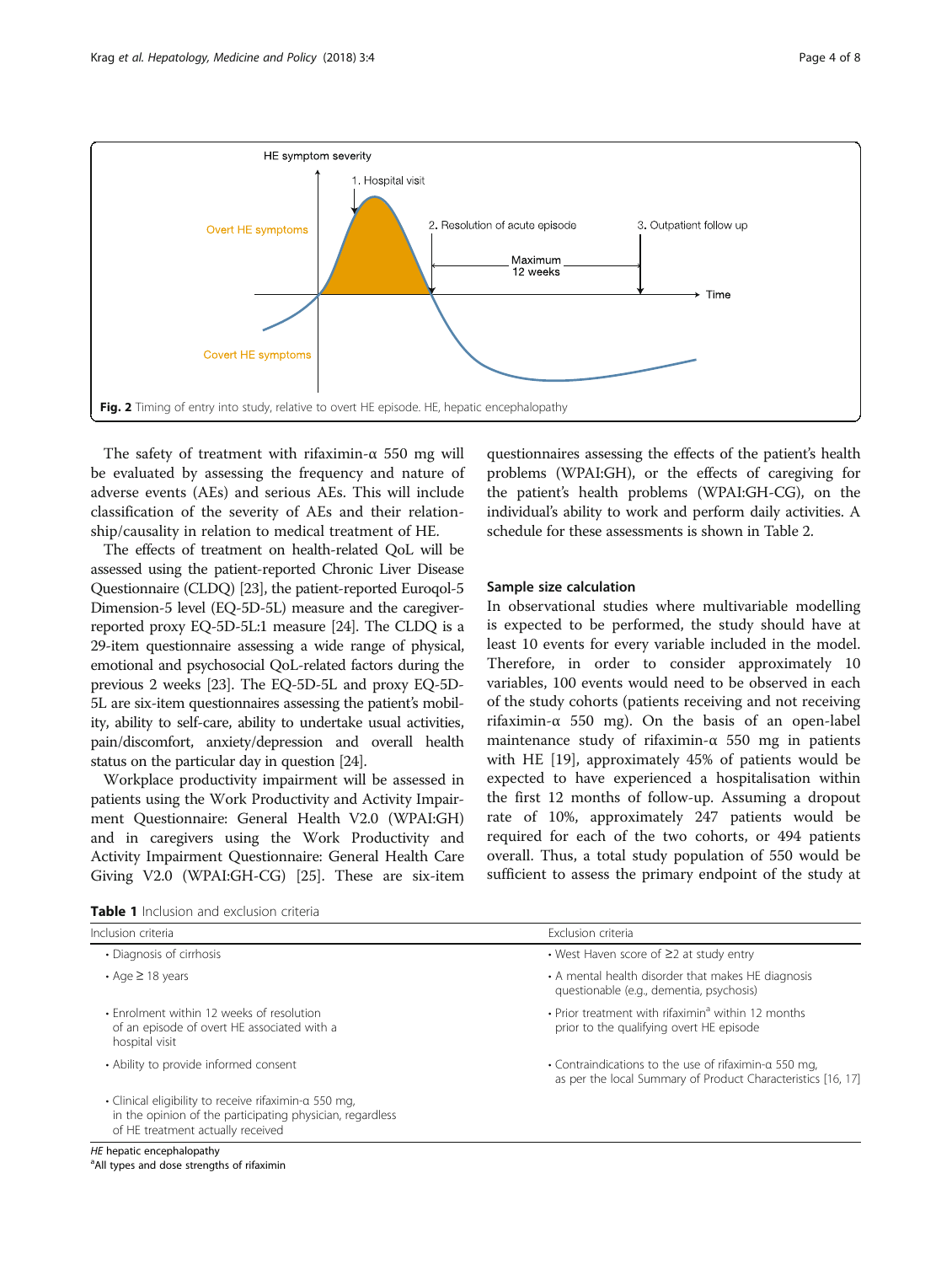<span id="page-3-0"></span>

The safety of treatment with rifaximin- $\alpha$  550 mg will be evaluated by assessing the frequency and nature of adverse events (AEs) and serious AEs. This will include classification of the severity of AEs and their relationship/causality in relation to medical treatment of HE.

The effects of treatment on health-related QoL will be assessed using the patient-reported Chronic Liver Disease Questionnaire (CLDQ) [[23](#page-7-0)], the patient-reported Euroqol-5 Dimension-5 level (EQ-5D-5L) measure and the caregiverreported proxy EQ-5D-5L:1 measure [\[24\]](#page-7-0). The CLDQ is a 29-item questionnaire assessing a wide range of physical, emotional and psychosocial QoL-related factors during the previous 2 weeks [\[23\]](#page-7-0). The EQ-5D-5L and proxy EQ-5D-5L are six-item questionnaires assessing the patient's mobility, ability to self-care, ability to undertake usual activities, pain/discomfort, anxiety/depression and overall health status on the particular day in question [\[24\]](#page-7-0).

Workplace productivity impairment will be assessed in patients using the Work Productivity and Activity Impairment Questionnaire: General Health V2.0 (WPAI:GH) and in caregivers using the Work Productivity and Activity Impairment Questionnaire: General Health Care Giving V2.0 (WPAI:GH-CG) [\[25\]](#page-7-0). These are six-item questionnaires assessing the effects of the patient's health problems (WPAI:GH), or the effects of caregiving for the patient's health problems (WPAI:GH-CG), on the individual's ability to work and perform daily activities. A schedule for these assessments is shown in Table [2](#page-4-0).

## Sample size calculation

In observational studies where multivariable modelling is expected to be performed, the study should have at least 10 events for every variable included in the model. Therefore, in order to consider approximately 10 variables, 100 events would need to be observed in each of the study cohorts (patients receiving and not receiving rifaximin-α 550 mg). On the basis of an open-label maintenance study of rifaximin-α 550 mg in patients with HE [[19](#page-7-0)], approximately 45% of patients would be expected to have experienced a hospitalisation within the first 12 months of follow-up. Assuming a dropout rate of 10%, approximately 247 patients would be required for each of the two cohorts, or 494 patients overall. Thus, a total study population of 550 would be sufficient to assess the primary endpoint of the study at

| Table 1 Inclusion and exclusion criteria |  |
|------------------------------------------|--|
|------------------------------------------|--|

| Inclusion criteria                                                                                                                                      | Exclusion criteria<br>$\cdot$ West Haven score of $\geq$ 2 at study entry                                             |  |  |  |  |
|---------------------------------------------------------------------------------------------------------------------------------------------------------|-----------------------------------------------------------------------------------------------------------------------|--|--|--|--|
| • Diagnosis of cirrhosis                                                                                                                                |                                                                                                                       |  |  |  |  |
| $\cdot$ Age $\geq$ 18 years                                                                                                                             | • A mental health disorder that makes HE diagnosis<br>questionable (e.g., dementia, psychosis)                        |  |  |  |  |
| • Enrolment within 12 weeks of resolution<br>of an episode of overt HE associated with a<br>hospital visit                                              | • Prior treatment with rifaximin <sup>a</sup> within 12 months<br>prior to the qualifying overt HE episode            |  |  |  |  |
| • Ability to provide informed consent                                                                                                                   | • Contraindications to the use of rifaximin-a 550 mg,<br>as per the local Summary of Product Characteristics [16, 17] |  |  |  |  |
| • Clinical eligibility to receive rifaximin-a 550 mg,<br>in the opinion of the participating physician, regardless<br>of HE treatment actually received |                                                                                                                       |  |  |  |  |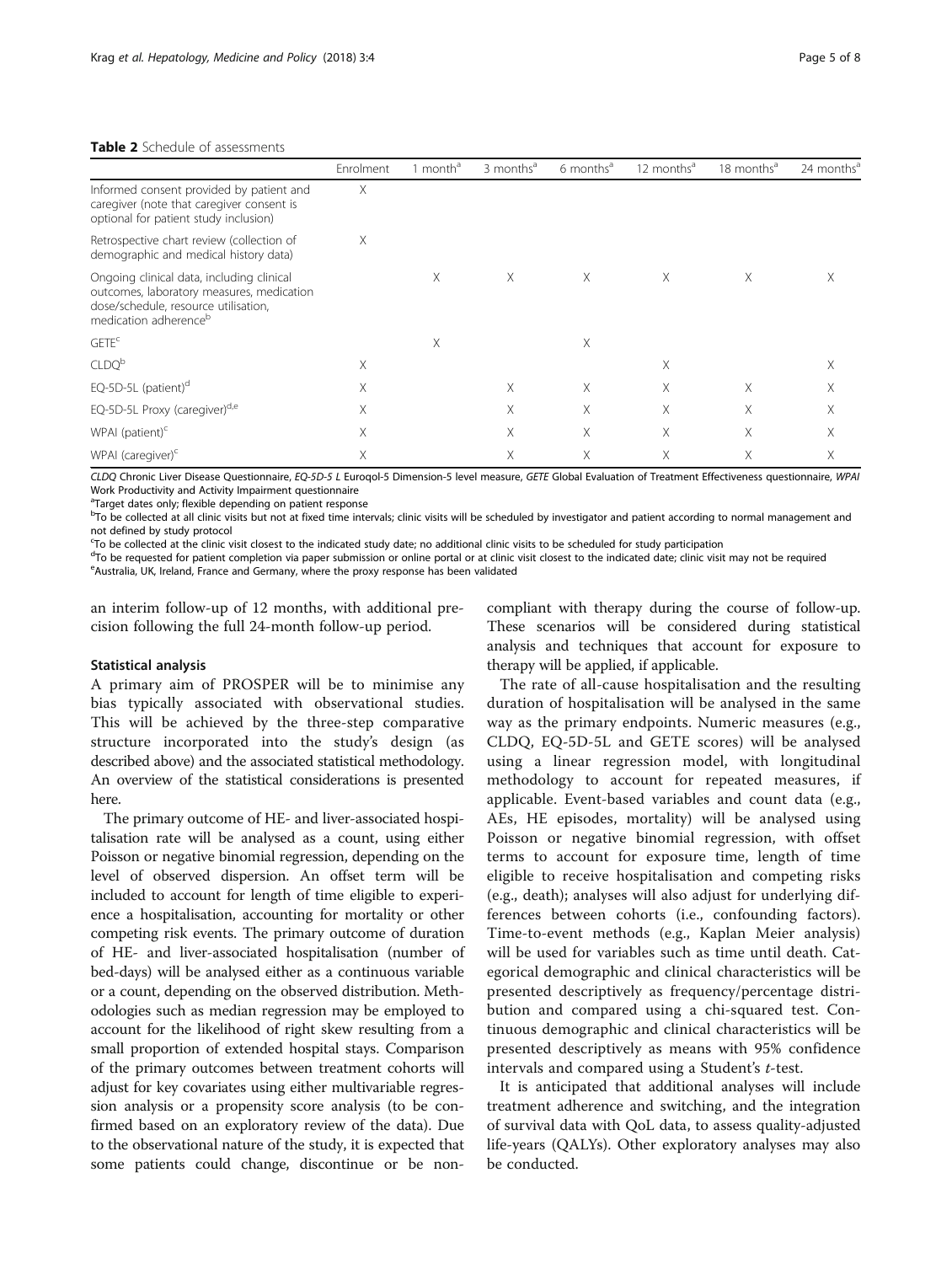## <span id="page-4-0"></span>Table 2 Schedule of assessments

|                                                                                                                                                                     | Enrolment | 1 month <sup>a</sup> | 3 months <sup>a</sup> | 6 months <sup>a</sup> | 12 months $a$ | 18 months <sup>a</sup> | 24 months <sup>a</sup> |
|---------------------------------------------------------------------------------------------------------------------------------------------------------------------|-----------|----------------------|-----------------------|-----------------------|---------------|------------------------|------------------------|
| Informed consent provided by patient and<br>caregiver (note that caregiver consent is<br>optional for patient study inclusion)                                      | X         |                      |                       |                       |               |                        |                        |
| Retrospective chart review (collection of<br>demographic and medical history data)                                                                                  | $\times$  |                      |                       |                       |               |                        |                        |
| Ongoing clinical data, including clinical<br>outcomes, laboratory measures, medication<br>dose/schedule, resource utilisation,<br>medication adherence <sup>b</sup> |           | X                    | X                     | X                     | $\times$      | X                      | х                      |
| GETE <sup>c</sup>                                                                                                                                                   |           | X                    |                       | X                     |               |                        |                        |
| CLDQ <sup>b</sup>                                                                                                                                                   | $\times$  |                      |                       |                       | X             |                        | Χ                      |
| EQ-5D-5L (patient) <sup>d</sup>                                                                                                                                     | X         |                      | Χ                     | X                     | Χ             | X                      | Χ                      |
| EQ-5D-5L Proxy (caregiver) <sup>d,e</sup>                                                                                                                           | X         |                      | X                     | X                     | X             | X                      | Χ                      |
| WPAI (patient) <sup>c</sup>                                                                                                                                         | X         |                      | X                     | X                     | X             | X                      | X                      |
| WPAI (caregiver) <sup>c</sup>                                                                                                                                       | X         |                      | X                     | X                     | X             | X                      | X                      |

CLDQ Chronic Liver Disease Questionnaire, EQ-5D-5 L Euroqol-5 Dimension-5 level measure, GETE Global Evaluation of Treatment Effectiveness questionnaire, WPAI Work Productivity and Activity Impairment questionnaire

<sup>a</sup>Target dates only; flexible depending on patient response

<sup>b</sup>To be collected at all clinic visits but not at fixed time intervals; clinic visits will be scheduled by investigator and patient according to normal management and not defined by study protocol

c To be collected at the clinic visit closest to the indicated study date; no additional clinic visits to be scheduled for study participation

d To be requested for patient completion via paper submission or online portal or at clinic visit closest to the indicated date; clinic visit may not be required<br>EALLSTRIE LIK Ireland Erance and Germany where the proxy res e Australia, UK, Ireland, France and Germany, where the proxy response has been validated

an interim follow-up of 12 months, with additional precision following the full 24-month follow-up period.

#### Statistical analysis

A primary aim of PROSPER will be to minimise any bias typically associated with observational studies. This will be achieved by the three-step comparative structure incorporated into the study's design (as described above) and the associated statistical methodology. An overview of the statistical considerations is presented here.

The primary outcome of HE- and liver-associated hospitalisation rate will be analysed as a count, using either Poisson or negative binomial regression, depending on the level of observed dispersion. An offset term will be included to account for length of time eligible to experience a hospitalisation, accounting for mortality or other competing risk events. The primary outcome of duration of HE- and liver-associated hospitalisation (number of bed-days) will be analysed either as a continuous variable or a count, depending on the observed distribution. Methodologies such as median regression may be employed to account for the likelihood of right skew resulting from a small proportion of extended hospital stays. Comparison of the primary outcomes between treatment cohorts will adjust for key covariates using either multivariable regression analysis or a propensity score analysis (to be confirmed based on an exploratory review of the data). Due to the observational nature of the study, it is expected that some patients could change, discontinue or be noncompliant with therapy during the course of follow-up. These scenarios will be considered during statistical analysis and techniques that account for exposure to therapy will be applied, if applicable.

The rate of all-cause hospitalisation and the resulting duration of hospitalisation will be analysed in the same way as the primary endpoints. Numeric measures (e.g., CLDQ, EQ-5D-5L and GETE scores) will be analysed using a linear regression model, with longitudinal methodology to account for repeated measures, if applicable. Event-based variables and count data (e.g., AEs, HE episodes, mortality) will be analysed using Poisson or negative binomial regression, with offset terms to account for exposure time, length of time eligible to receive hospitalisation and competing risks (e.g., death); analyses will also adjust for underlying differences between cohorts (i.e., confounding factors). Time-to-event methods (e.g., Kaplan Meier analysis) will be used for variables such as time until death. Categorical demographic and clinical characteristics will be presented descriptively as frequency/percentage distribution and compared using a chi-squared test. Continuous demographic and clinical characteristics will be presented descriptively as means with 95% confidence intervals and compared using a Student's t-test.

It is anticipated that additional analyses will include treatment adherence and switching, and the integration of survival data with QoL data, to assess quality-adjusted life-years (QALYs). Other exploratory analyses may also be conducted.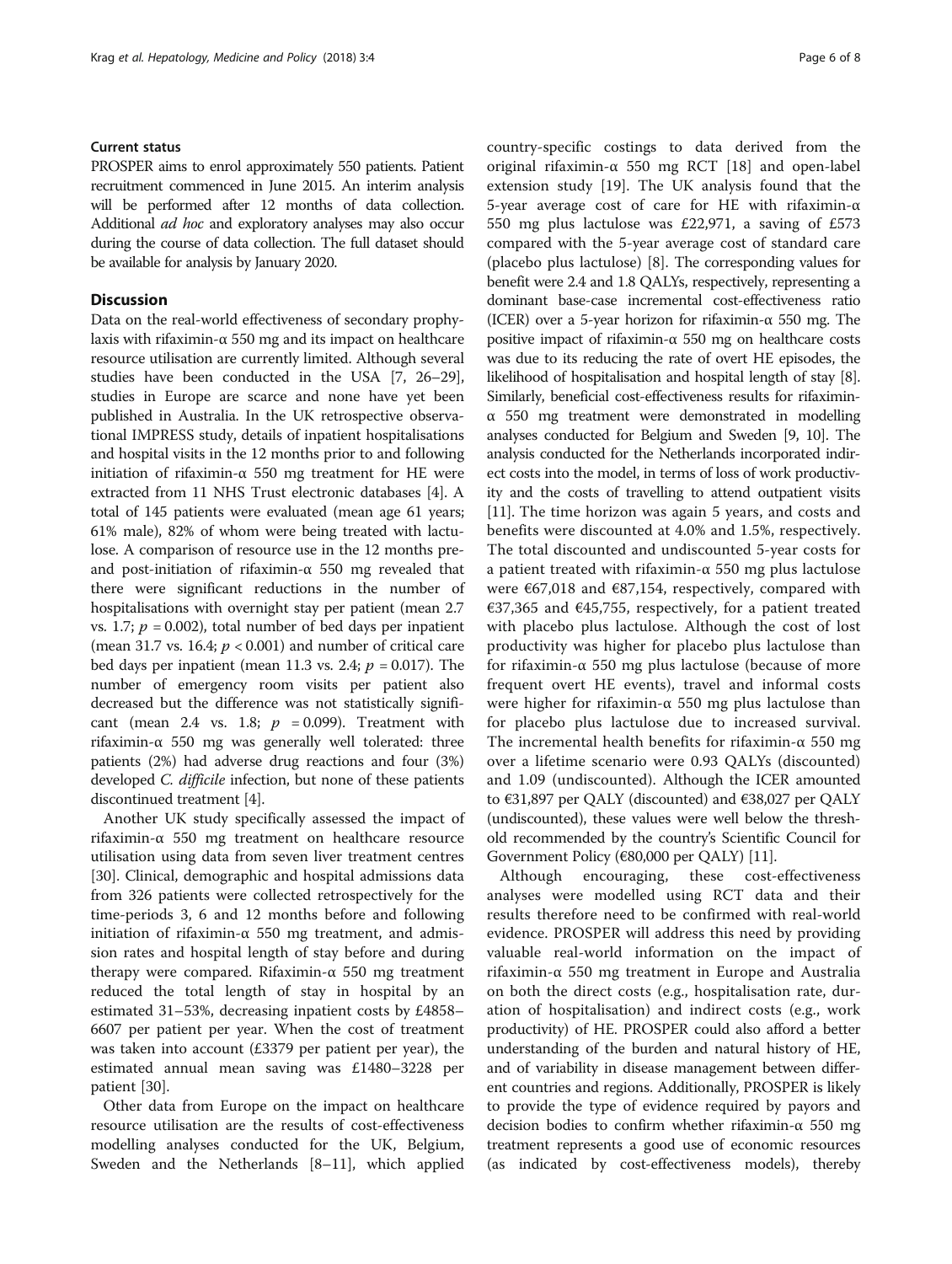## Current status

PROSPER aims to enrol approximately 550 patients. Patient recruitment commenced in June 2015. An interim analysis will be performed after 12 months of data collection. Additional ad hoc and exploratory analyses may also occur during the course of data collection. The full dataset should be available for analysis by January 2020.

## **Discussion**

Data on the real-world effectiveness of secondary prophylaxis with rifaximin-α 550 mg and its impact on healthcare resource utilisation are currently limited. Although several studies have been conducted in the USA [\[7](#page-7-0), [26](#page-7-0)–[29](#page-7-0)], studies in Europe are scarce and none have yet been published in Australia. In the UK retrospective observational IMPRESS study, details of inpatient hospitalisations and hospital visits in the 12 months prior to and following initiation of rifaximin- $\alpha$  550 mg treatment for HE were extracted from 11 NHS Trust electronic databases [\[4\]](#page-6-0). A total of 145 patients were evaluated (mean age 61 years; 61% male), 82% of whom were being treated with lactulose. A comparison of resource use in the 12 months preand post-initiation of rifaximin-α 550 mg revealed that there were significant reductions in the number of hospitalisations with overnight stay per patient (mean 2.7 vs. 1.7;  $p = 0.002$ ), total number of bed days per inpatient (mean 31.7 vs. 16.4;  $p < 0.001$ ) and number of critical care bed days per inpatient (mean 11.3 vs. 2.4;  $p = 0.017$ ). The number of emergency room visits per patient also decreased but the difference was not statistically significant (mean 2.4 vs. 1.8;  $p = 0.099$ ). Treatment with rifaximin- $\alpha$  550 mg was generally well tolerated: three patients (2%) had adverse drug reactions and four (3%) developed C. difficile infection, but none of these patients discontinued treatment [[4\]](#page-6-0).

Another UK study specifically assessed the impact of rifaximin-α 550 mg treatment on healthcare resource utilisation using data from seven liver treatment centres [[30\]](#page-7-0). Clinical, demographic and hospital admissions data from 326 patients were collected retrospectively for the time-periods 3, 6 and 12 months before and following initiation of rifaximin- $\alpha$  550 mg treatment, and admission rates and hospital length of stay before and during therapy were compared. Rifaximin-α 550 mg treatment reduced the total length of stay in hospital by an estimated 31–53%, decreasing inpatient costs by £4858– 6607 per patient per year. When the cost of treatment was taken into account (£3379 per patient per year), the estimated annual mean saving was £1480–3228 per patient [\[30\]](#page-7-0).

Other data from Europe on the impact on healthcare resource utilisation are the results of cost-effectiveness modelling analyses conducted for the UK, Belgium, Sweden and the Netherlands [[8](#page-7-0)–[11](#page-7-0)], which applied country-specific costings to data derived from the original rifaximin-α 550 mg RCT [[18](#page-7-0)] and open-label extension study [[19\]](#page-7-0). The UK analysis found that the 5-year average cost of care for HE with rifaximin-α 550 mg plus lactulose was £22,971, a saving of £573 compared with the 5-year average cost of standard care (placebo plus lactulose) [\[8](#page-7-0)]. The corresponding values for benefit were 2.4 and 1.8 QALYs, respectively, representing a dominant base-case incremental cost-effectiveness ratio (ICER) over a 5-year horizon for rifaximin- $\alpha$  550 mg. The positive impact of rifaximin-α 550 mg on healthcare costs was due to its reducing the rate of overt HE episodes, the likelihood of hospitalisation and hospital length of stay [[8](#page-7-0)]. Similarly, beneficial cost-effectiveness results for rifaximinα 550 mg treatment were demonstrated in modelling analyses conducted for Belgium and Sweden [\[9](#page-7-0), [10\]](#page-7-0). The analysis conducted for the Netherlands incorporated indirect costs into the model, in terms of loss of work productivity and the costs of travelling to attend outpatient visits [[11](#page-7-0)]. The time horizon was again 5 years, and costs and benefits were discounted at 4.0% and 1.5%, respectively. The total discounted and undiscounted 5-year costs for a patient treated with rifaximin-α 550 mg plus lactulose were  $\epsilon$ 67,018 and  $\epsilon$ 87,154, respectively, compared with €37,365 and €45,755, respectively, for a patient treated with placebo plus lactulose. Although the cost of lost productivity was higher for placebo plus lactulose than for rifaximin-α 550 mg plus lactulose (because of more frequent overt HE events), travel and informal costs were higher for rifaximin-α 550 mg plus lactulose than for placebo plus lactulose due to increased survival. The incremental health benefits for rifaximin- $\alpha$  550 mg over a lifetime scenario were 0.93 QALYs (discounted) and 1.09 (undiscounted). Although the ICER amounted to €31,897 per QALY (discounted) and €38,027 per QALY (undiscounted), these values were well below the threshold recommended by the country's Scientific Council for Government Policy (€80,000 per QALY) [\[11](#page-7-0)].

Although encouraging, these cost-effectiveness analyses were modelled using RCT data and their results therefore need to be confirmed with real-world evidence. PROSPER will address this need by providing valuable real-world information on the impact of rifaximin-α 550 mg treatment in Europe and Australia on both the direct costs (e.g., hospitalisation rate, duration of hospitalisation) and indirect costs (e.g., work productivity) of HE. PROSPER could also afford a better understanding of the burden and natural history of HE, and of variability in disease management between different countries and regions. Additionally, PROSPER is likely to provide the type of evidence required by payors and decision bodies to confirm whether rifaximin-α 550 mg treatment represents a good use of economic resources (as indicated by cost-effectiveness models), thereby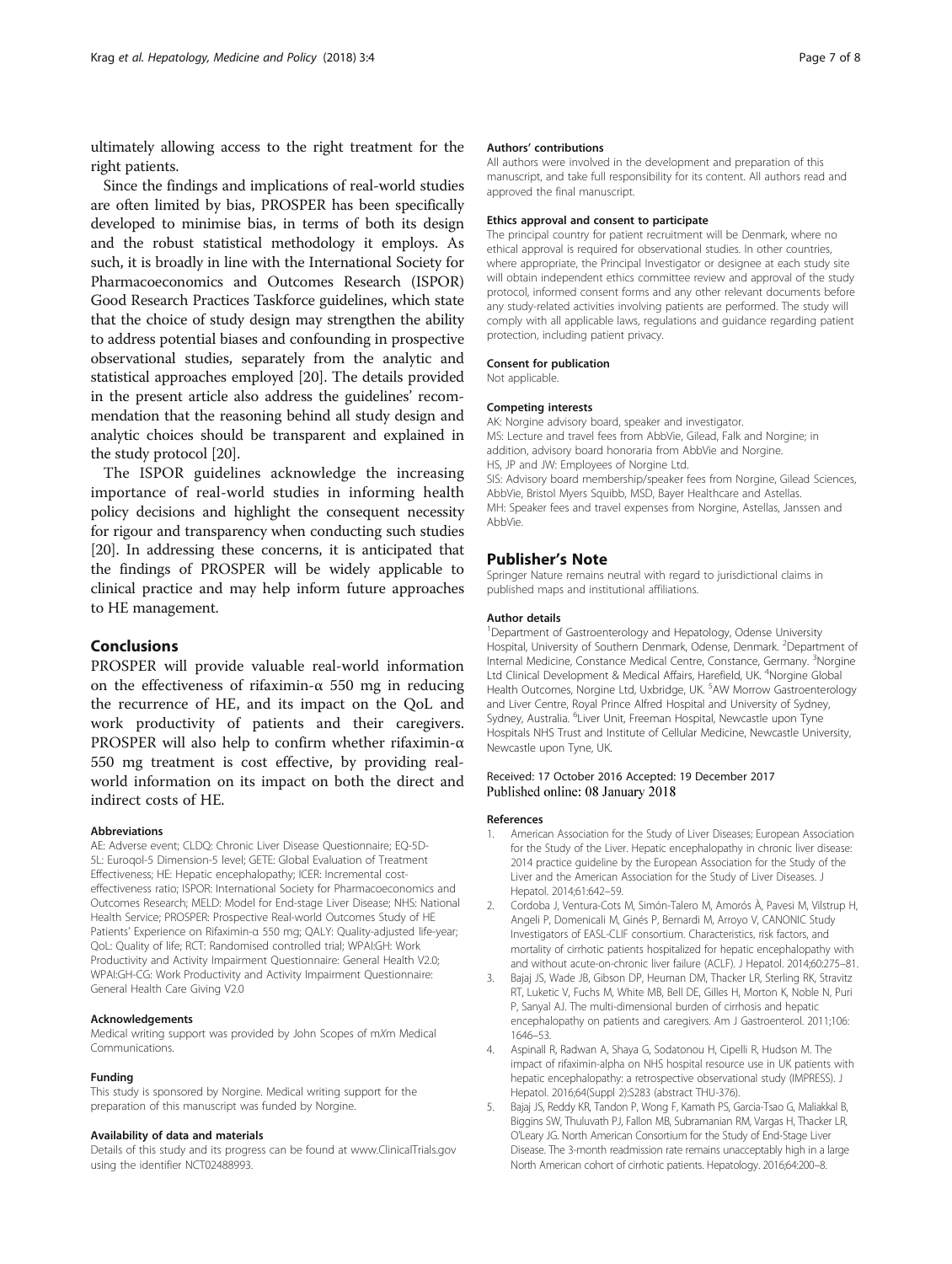<span id="page-6-0"></span>ultimately allowing access to the right treatment for the right patients.

Since the findings and implications of real-world studies are often limited by bias, PROSPER has been specifically developed to minimise bias, in terms of both its design and the robust statistical methodology it employs. As such, it is broadly in line with the International Society for Pharmacoeconomics and Outcomes Research (ISPOR) Good Research Practices Taskforce guidelines, which state that the choice of study design may strengthen the ability to address potential biases and confounding in prospective observational studies, separately from the analytic and statistical approaches employed [[20](#page-7-0)]. The details provided in the present article also address the guidelines' recommendation that the reasoning behind all study design and analytic choices should be transparent and explained in the study protocol [\[20](#page-7-0)].

The ISPOR guidelines acknowledge the increasing importance of real-world studies in informing health policy decisions and highlight the consequent necessity for rigour and transparency when conducting such studies [[20](#page-7-0)]. In addressing these concerns, it is anticipated that the findings of PROSPER will be widely applicable to clinical practice and may help inform future approaches to HE management.

## Conclusions

PROSPER will provide valuable real-world information on the effectiveness of rifaximin-α 550 mg in reducing the recurrence of HE, and its impact on the QoL and work productivity of patients and their caregivers. PROSPER will also help to confirm whether rifaximin-α 550 mg treatment is cost effective, by providing realworld information on its impact on both the direct and indirect costs of HE.

#### Abbreviations

AE: Adverse event; CLDQ: Chronic Liver Disease Questionnaire; EQ-5D-5L: Euroqol-5 Dimension-5 level; GETE: Global Evaluation of Treatment Effectiveness; HE: Hepatic encephalopathy; ICER: Incremental costeffectiveness ratio; ISPOR: International Society for Pharmacoeconomics and Outcomes Research; MELD: Model for End-stage Liver Disease; NHS: National Health Service; PROSPER: Prospective Real-world Outcomes Study of HE Patients' Experience on Rifaximin-α 550 mg; QALY: Quality-adjusted life-year; QoL: Quality of life; RCT: Randomised controlled trial; WPAI:GH: Work Productivity and Activity Impairment Questionnaire: General Health V2.0; WPAI:GH-CG: Work Productivity and Activity Impairment Questionnaire: General Health Care Giving V2.0

#### Acknowledgements

Medical writing support was provided by John Scopes of mXm Medical Communications.

#### Funding

This study is sponsored by Norgine. Medical writing support for the preparation of this manuscript was funded by Norgine.

#### Availability of data and materials

Details of this study and its progress can be found at [www.ClinicalTrials.gov](http://www.clinicaltrials.gov) using the identifier NCT02488993.

#### Authors' contributions

All authors were involved in the development and preparation of this manuscript, and take full responsibility for its content. All authors read and approved the final manuscript.

#### Ethics approval and consent to participate

The principal country for patient recruitment will be Denmark, where no ethical approval is required for observational studies. In other countries, where appropriate, the Principal Investigator or designee at each study site will obtain independent ethics committee review and approval of the study protocol, informed consent forms and any other relevant documents before any study-related activities involving patients are performed. The study will comply with all applicable laws, regulations and guidance regarding patient protection, including patient privacy.

#### Consent for publication

Not applicable.

#### Competing interests

AK: Norgine advisory board, speaker and investigator. MS: Lecture and travel fees from AbbVie, Gilead, Falk and Norgine; in addition, advisory board honoraria from AbbVie and Norgine. HS, JP and JW: Employees of Norgine Ltd. SIS: Advisory board membership/speaker fees from Norgine, Gilead Sciences, AbbVie, Bristol Myers Squibb, MSD, Bayer Healthcare and Astellas. MH: Speaker fees and travel expenses from Norgine, Astellas, Janssen and AbbVie.

#### Publisher's Note

Springer Nature remains neutral with regard to jurisdictional claims in published maps and institutional affiliations.

#### Author details

<sup>1</sup>Department of Gastroenterology and Hepatology, Odense University Hospital, University of Southern Denmark, Odense, Denmark. <sup>2</sup>Department of Internal Medicine, Constance Medical Centre, Constance, Germany. <sup>3</sup>Norgine Ltd Clinical Development & Medical Affairs, Harefield, UK. <sup>4</sup>Norgine Global Health Outcomes, Norgine Ltd, Uxbridge, UK.<sup>5</sup> AW Morrow Gastroenterology and Liver Centre, Royal Prince Alfred Hospital and University of Sydney, Sydney, Australia. <sup>6</sup>Liver Unit, Freeman Hospital, Newcastle upon Tyne Hospitals NHS Trust and Institute of Cellular Medicine, Newcastle University, Newcastle upon Tyne, UK.

#### Received: 17 October 2016 Accepted: 19 December 2017 Published online: 08 January 2018

#### References

- American Association for the Study of Liver Diseases; European Association for the Study of the Liver. Hepatic encephalopathy in chronic liver disease: 2014 practice guideline by the European Association for the Study of the Liver and the American Association for the Study of Liver Diseases. J Hepatol. 2014;61:642–59.
- 2. Cordoba J, Ventura-Cots M, Simón-Talero M, Amorós À, Pavesi M, Vilstrup H, Angeli P, Domenicali M, Ginés P, Bernardi M, Arroyo V, CANONIC Study Investigators of EASL-CLIF consortium. Characteristics, risk factors, and mortality of cirrhotic patients hospitalized for hepatic encephalopathy with and without acute-on-chronic liver failure (ACLF). J Hepatol. 2014;60:275–81.
- 3. Bajaj JS, Wade JB, Gibson DP, Heuman DM, Thacker LR, Sterling RK, Stravitz RT, Luketic V, Fuchs M, White MB, Bell DE, Gilles H, Morton K, Noble N, Puri P, Sanyal AJ. The multi-dimensional burden of cirrhosis and hepatic encephalopathy on patients and caregivers. Am J Gastroenterol. 2011;106: 1646–53.
- 4. Aspinall R, Radwan A, Shaya G, Sodatonou H, Cipelli R, Hudson M. The impact of rifaximin-alpha on NHS hospital resource use in UK patients with hepatic encephalopathy: a retrospective observational study (IMPRESS). J Hepatol. 2016;64(Suppl 2):S283 (abstract THU-376).
- 5. Bajaj JS, Reddy KR, Tandon P, Wong F, Kamath PS, Garcia-Tsao G, Maliakkal B, Biggins SW, Thuluvath PJ, Fallon MB, Subramanian RM, Vargas H, Thacker LR, O'Leary JG. North American Consortium for the Study of End-Stage Liver Disease. The 3-month readmission rate remains unacceptably high in a large North American cohort of cirrhotic patients. Hepatology. 2016;64:200–8.